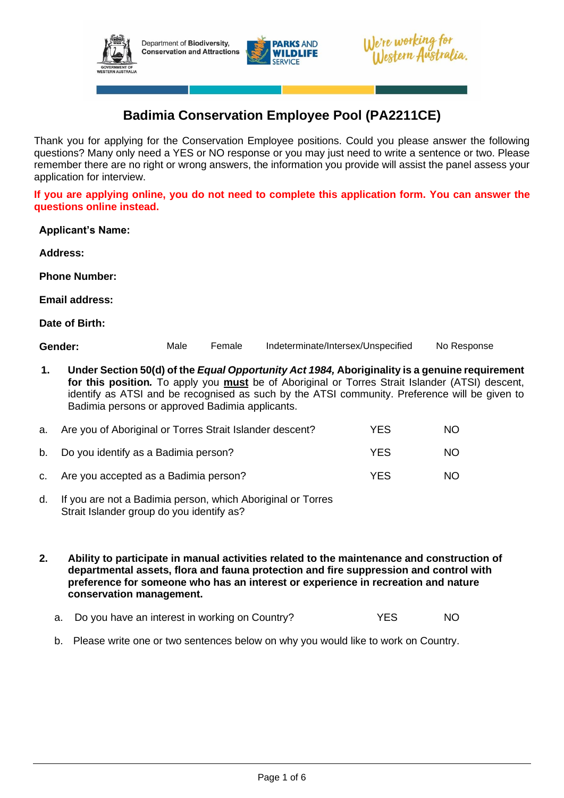





# **Badimia Conservation Employee Pool (PA2211CE)**

Thank you for applying for the Conservation Employee positions. Could you please answer the following questions? Many only need a YES or NO response or you may just need to write a sentence or two. Please remember there are no right or wrong answers, the information you provide will assist the panel assess your application for interview.

**If you are applying online, you do not need to complete this application form. You can answer the questions online instead.**

**Applicant's Name:**

**Address:**

**Phone Number:**

**Email address:**

**Date of Birth:**

| Gender: | Male | Female | Indeterminate/Intersex/Unspecified | No Response |
|---------|------|--------|------------------------------------|-------------|
|---------|------|--------|------------------------------------|-------------|

**1. Under Section 50(d) of the** *Equal Opportunity Act 1984,* **Aboriginality is a genuine requirement for this position***.* To apply you **must** be of Aboriginal or Torres Strait Islander (ATSI) descent, identify as ATSI and be recognised as such by the ATSI community. Preference will be given to Badimia persons or approved Badimia applicants.

| a. Are you of Aboriginal or Torres Strait Islander descent? | YES | NO. |
|-------------------------------------------------------------|-----|-----|
| b. Do you identify as a Badimia person?                     | YES | NO. |
| c. Are you accepted as a Badimia person?                    | YFS | NO. |

- d. If you are not a Badimia person, which Aboriginal or Torres Strait Islander group do you identify as?
- **2. Ability to participate in manual activities related to the maintenance and construction of departmental assets, flora and fauna protection and fire suppression and control with preference for someone who has an interest or experience in recreation and nature conservation management.**
	- a. Do you have an interest in working on Country? YES NO
	- b. Please write one or two sentences below on why you would like to work on Country.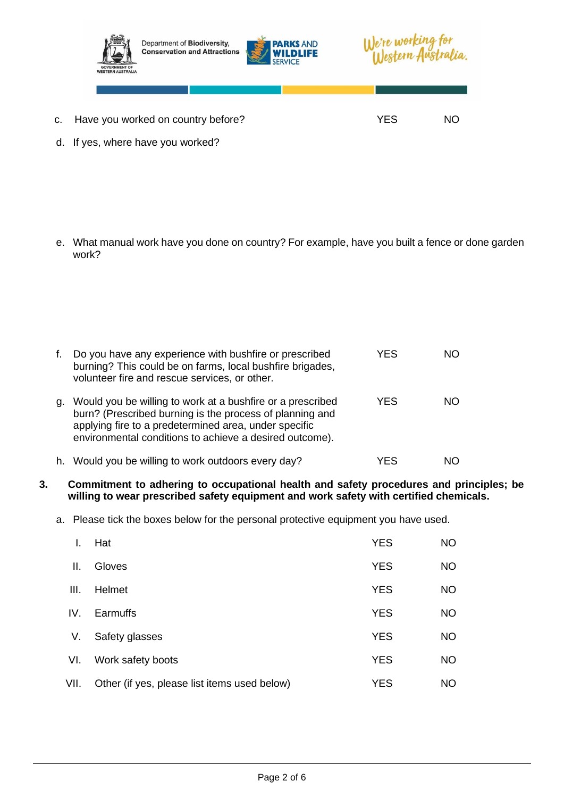

d. If yes, where have you worked?

e. What manual work have you done on country? For example, have you built a fence or done garden work?

f. Do you have any experience with bushfire or prescribed burning? This could be on farms, local bushfire brigades, volunteer fire and rescue services, or other. YES NO g. Would you be willing to work at a bushfire or a prescribed burn? (Prescribed burning is the process of planning and applying fire to a predetermined area, under specific environmental conditions to achieve a desired outcome). YES NO h. Would you be willing to work outdoors every day? YES NO

- **3. Commitment to adhering to occupational health and safety procedures and principles; be willing to wear prescribed safety equipment and work safety with certified chemicals.**
	- a. Please tick the boxes below for the personal protective equipment you have used.

|      | Hat                                          | <b>YES</b> | <b>NO</b> |
|------|----------------------------------------------|------------|-----------|
| Ш.   | Gloves                                       | <b>YES</b> | <b>NO</b> |
| III. | Helmet                                       | <b>YES</b> | <b>NO</b> |
| IV.  | Earmuffs                                     | <b>YES</b> | <b>NO</b> |
| V.   | Safety glasses                               | <b>YES</b> | <b>NO</b> |
| VI.  | Work safety boots                            | <b>YES</b> | <b>NO</b> |
| VII. | Other (if yes, please list items used below) | <b>YES</b> | <b>NO</b> |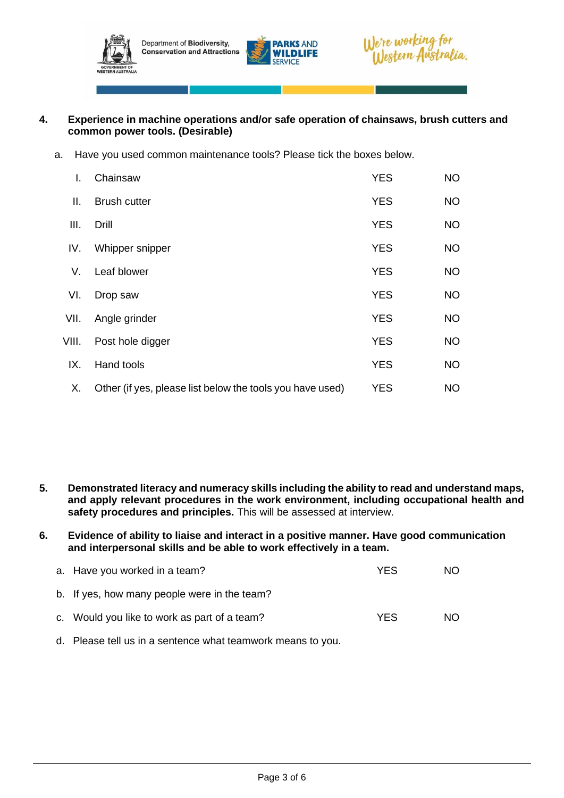





## **4. Experience in machine operations and/or safe operation of chainsaws, brush cutters and common power tools. (Desirable)**

a. Have you used common maintenance tools? Please tick the boxes below.

| L.    | Chainsaw                                                  | <b>YES</b> | <b>NO</b> |
|-------|-----------------------------------------------------------|------------|-----------|
| П.    | <b>Brush cutter</b>                                       | <b>YES</b> | <b>NO</b> |
| III.  | Drill                                                     | <b>YES</b> | <b>NO</b> |
| IV.   | Whipper snipper                                           | <b>YES</b> | <b>NO</b> |
| V.    | Leaf blower                                               | <b>YES</b> | <b>NO</b> |
| VI.   | Drop saw                                                  | <b>YES</b> | <b>NO</b> |
| VII.  | Angle grinder                                             | <b>YES</b> | <b>NO</b> |
| VIII. | Post hole digger                                          | <b>YES</b> | <b>NO</b> |
| IX.   | Hand tools                                                | <b>YES</b> | <b>NO</b> |
| Х.    | Other (if yes, please list below the tools you have used) | <b>YES</b> | <b>NO</b> |

- **5. Demonstrated literacy and numeracy skills including the ability to read and understand maps, and apply relevant procedures in the work environment, including occupational health and safety procedures and principles.** This will be assessed at interview.
- **6. Evidence of ability to liaise and interact in a positive manner. Have good communication and interpersonal skills and be able to work effectively in a team.**

| a. Have you worked in a team?                | YFS | NO. |
|----------------------------------------------|-----|-----|
| b. If yes, how many people were in the team? |     |     |
| c. Would you like to work as part of a team? | YFS | NO. |

d. Please tell us in a sentence what teamwork means to you.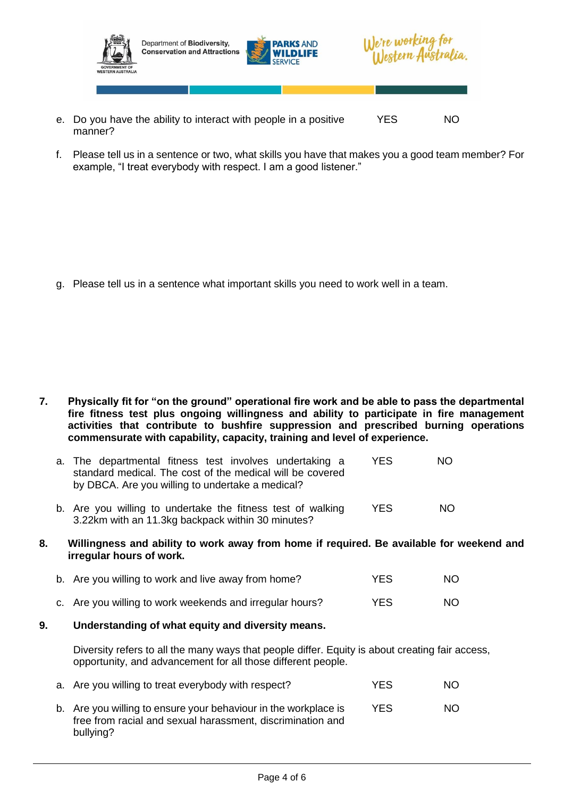

Department of Biodiversity, **Conservation and Attractions** 





- e. Do you have the ability to interact with people in a positive manner? YES NO
- f. Please tell us in a sentence or two, what skills you have that makes you a good team member? For example, "I treat everybody with respect. I am a good listener."

g. Please tell us in a sentence what important skills you need to work well in a team.

**7. Physically fit for "on the ground" operational fire work and be able to pass the departmental fire fitness test plus ongoing willingness and ability to participate in fire management activities that contribute to bushfire suppression and prescribed burning operations commensurate with capability, capacity, training and level of experience.**

| a. The departmental fitness test involves undertaking a   | YES. | NO. |
|-----------------------------------------------------------|------|-----|
| standard medical. The cost of the medical will be covered |      |     |
| by DBCA. Are you willing to undertake a medical?          |      |     |
|                                                           |      |     |

- b. Are you willing to undertake the fitness test of walking 3.22km with an 11.3kg backpack within 30 minutes? YES NO
- **8. Willingness and ability to work away from home if required. Be available for weekend and irregular hours of work.**
	- b. Are you willing to work and live away from home? YES YES NO
	- c. Are you willing to work weekends and irregular hours? YES NO
- **9. Understanding of what equity and diversity means.**

Diversity refers to all the many ways that people differ. Equity is about creating fair access, opportunity, and advancement for all those different people.

| a. Are you willing to treat everybody with respect?                                                                                        | <b>YES</b> | NO. |
|--------------------------------------------------------------------------------------------------------------------------------------------|------------|-----|
| b. Are you willing to ensure your behaviour in the workplace is<br>free from racial and sexual harassment, discrimination and<br>bullying? | YES        | NO. |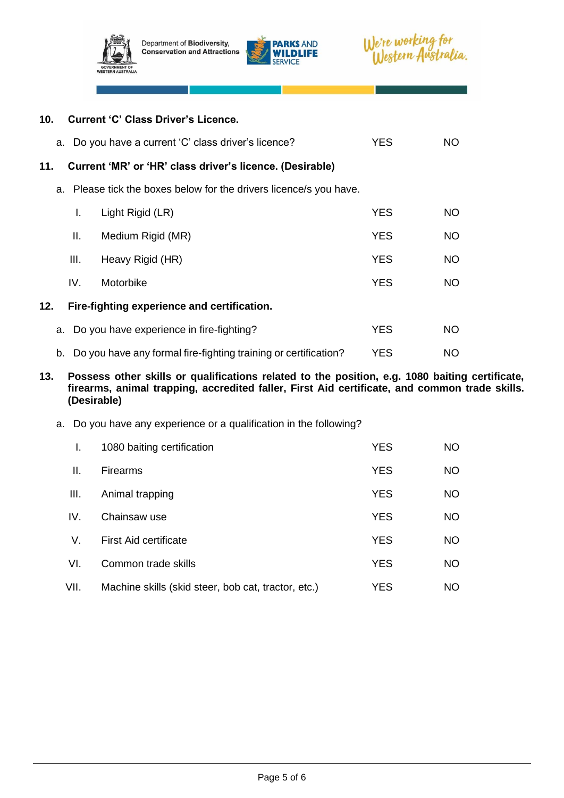

Department of Biodiversity, **Conservation and Attractions** 





|     |      | 10. Current 'C' Class Driver's Licence.                            |            |           |
|-----|------|--------------------------------------------------------------------|------------|-----------|
|     |      | a. Do you have a current 'C' class driver's licence?               | <b>YES</b> | NO.       |
| 11. |      | Current 'MR' or 'HR' class driver's licence. (Desirable)           |            |           |
|     |      | a. Please tick the boxes below for the drivers licence/s you have. |            |           |
|     | L.   | Light Rigid (LR)                                                   | <b>YES</b> | <b>NO</b> |
|     | Ш.   | Medium Rigid (MR)                                                  | <b>YES</b> | <b>NO</b> |
|     | III. | Heavy Rigid (HR)                                                   | <b>YES</b> | <b>NO</b> |
|     | IV.  | Motorbike                                                          | <b>YES</b> | <b>NO</b> |
| 12. |      | Fire-fighting experience and certification.                        |            |           |
|     |      | a. Do you have experience in fire-fighting?                        | <b>YES</b> | <b>NO</b> |
|     |      | b. Do you have any formal fire-fighting training or certification? | <b>YES</b> | NO.       |

#### **13. Possess other skills or qualifications related to the position, e.g. 1080 baiting certificate, firearms, animal trapping, accredited faller, First Aid certificate, and common trade skills. (Desirable)**

a. Do you have any experience or a qualification in the following?

| I.   | 1080 baiting certification                          | <b>YES</b> | NO.       |
|------|-----------------------------------------------------|------------|-----------|
| Ш.   | <b>Firearms</b>                                     | <b>YES</b> | <b>NO</b> |
| III. | Animal trapping                                     | <b>YES</b> | <b>NO</b> |
| IV.  | Chainsaw use                                        | <b>YES</b> | NO.       |
| V.   | <b>First Aid certificate</b>                        | <b>YES</b> | <b>NO</b> |
| VI.  | Common trade skills                                 | <b>YES</b> | <b>NO</b> |
| VII. | Machine skills (skid steer, bob cat, tractor, etc.) | YES        | <b>NO</b> |